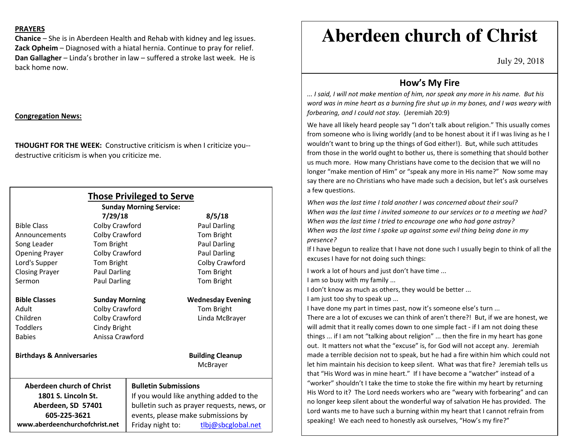## **PRAYERS**

**Chanice** – She is in Aberdeen Health and Rehab with kidney and leg issues. **Zack Opheim** – Diagnosed with a hiatal hernia. Continue to pray for relief. **Dan Gallagher** – Linda's brother in law – suffered a stroke last week. He is back home now.

## **Congregation News:**

**THOUGHT FOR THE WEEK:** Constructive criticism is when I criticize you-destructive criticism is when you criticize me.

| <b>Those Privileged to Serve</b>     |                       |                                            |                          |
|--------------------------------------|-----------------------|--------------------------------------------|--------------------------|
| <b>Sunday Morning Service:</b>       |                       |                                            |                          |
|                                      | 7/29/18               |                                            | 8/5/18                   |
| <b>Bible Class</b>                   | Colby Crawford        |                                            | Paul Darling             |
| Announcements                        | Colby Crawford        |                                            | Tom Bright               |
| Song Leader                          | Tom Bright            |                                            | <b>Paul Darling</b>      |
| <b>Opening Prayer</b>                | Colby Crawford        |                                            | <b>Paul Darling</b>      |
| Lord's Supper                        | Tom Bright            |                                            | Colby Crawford           |
| <b>Closing Prayer</b>                | Paul Darling          |                                            | Tom Bright               |
| Sermon                               | <b>Paul Darling</b>   |                                            | Tom Bright               |
| <b>Bible Classes</b>                 | <b>Sunday Morning</b> |                                            | <b>Wednesday Evening</b> |
| Adult                                | Colby Crawford        |                                            | Tom Bright               |
| Children                             | Colby Crawford        |                                            | Linda McBrayer           |
| <b>Toddlers</b>                      | Cindy Bright          |                                            |                          |
| <b>Babies</b>                        | Anissa Crawford       |                                            |                          |
| <b>Birthdays &amp; Anniversaries</b> |                       |                                            | <b>Building Cleanup</b>  |
|                                      |                       |                                            | McBrayer                 |
| <b>Aberdeen church of Christ</b>     |                       | <b>Bulletin Submissions</b>                |                          |
| 1801 S. Lincoln St.                  |                       | If you would like anything added to the    |                          |
| Aberdeen, SD 57401                   |                       | bulletin such as prayer requests, news, or |                          |
| 605-225-3621                         |                       | events, please make submissions by         |                          |
| www.aberdeenchurchofchrist.net       |                       | Friday night to:                           | tlbj@sbcglobal.net       |

# **Aberdeen church of Christ**

July 29, 2018

# **How's My Fire**

*... I said, I will not make mention of him, nor speak any more in his name. But his word was in mine heart as a burning fire shut up in my bones, and I was weary with forbearing, and I could not stay.* (Jeremiah 20:9)

We have all likely heard people say "I don't talk about religion." This usually comes from someone who is living worldly (and to be honest about it if I was living as he I wouldn't want to bring up the things of God either!). But, while such attitudes from those in the world ought to bother us, there is something that should bother us much more. How many Christians have come to the decision that we will no longer "make mention of Him" or "speak any more in His name?" Now some may say there are no Christians who have made such a decision, but let's ask ourselves a few questions.

*When was the last time I told another I was concerned about their soul? When was the last time I invited someone to our services or to a meeting we had? When was the last time I tried to encourage one who had gone astray? When was the last time I spoke up against some evil thing being done in my presence?* 

If I have begun to realize that I have not done such I usually begin to think of all the excuses I have for not doing such things:

I work a lot of hours and just don't have time ...

I am so busy with my family ...

I don't know as much as others, they would be better ...

I am just too shy to speak up ...

I have done my part in times past, now it's someone else's turn ...

There are a lot of excuses we can think of aren't there?! But, if we are honest, we will admit that it really comes down to one simple fact - if I am not doing these things ... if I am not "talking about religion" ... then the fire in my heart has gone out. It matters not what the "excuse" is, for God will not accept any. Jeremiah made a terrible decision not to speak, but he had a fire within him which could not let him maintain his decision to keep silent. What was that fire? Jeremiah tells us that "His Word was in mine heart." If I have become a "watcher" instead of a "worker" shouldn't I take the time to stoke the fire within my heart by returning His Word to it? The Lord needs workers who are "weary with forbearing" and can no longer keep silent about the wonderful way of salvation He has provided. The Lord wants me to have such a burning within my heart that I cannot refrain from speaking! We each need to honestly ask ourselves, "How's my fire?"